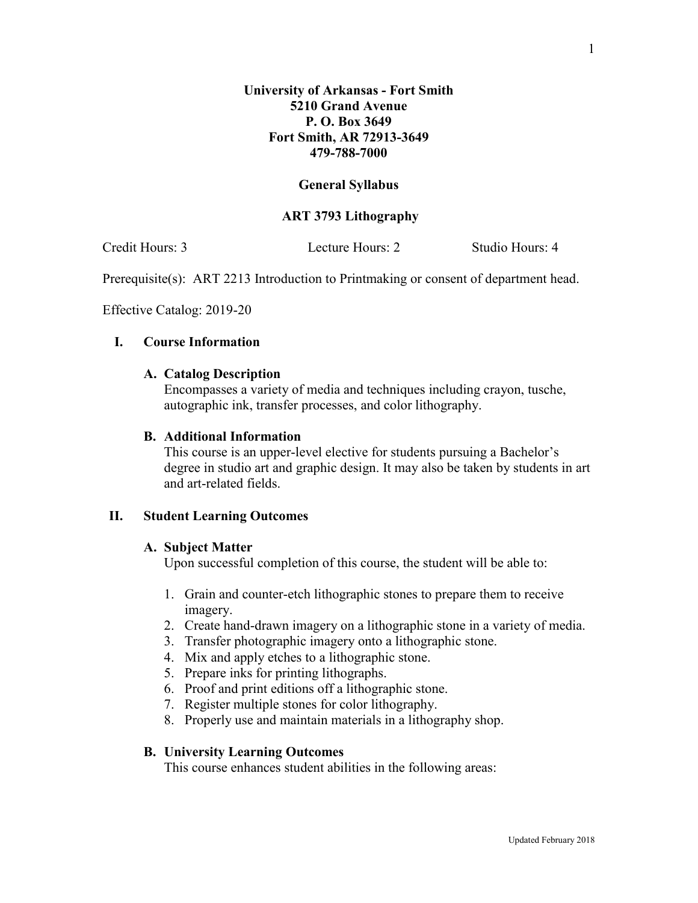# **General Syllabus**

## **ART 3793 Lithography**

Credit Hours: 3 Lecture Hours: 2 Studio Hours: 4

Prerequisite(s): ART 2213 Introduction to Printmaking or consent of department head.

Effective Catalog: 2019-20

## **I. Course Information**

#### **A. Catalog Description**

Encompasses a variety of media and techniques including crayon, tusche, autographic ink, transfer processes, and color lithography.

## **B. Additional Information**

This course is an upper-level elective for students pursuing a Bachelor's degree in studio art and graphic design. It may also be taken by students in art and art-related fields.

## **II. Student Learning Outcomes**

#### **A. Subject Matter**

Upon successful completion of this course, the student will be able to:

- 1. Grain and counter-etch lithographic stones to prepare them to receive imagery.
- 2. Create hand-drawn imagery on a lithographic stone in a variety of media.
- 3. Transfer photographic imagery onto a lithographic stone.
- 4. Mix and apply etches to a lithographic stone.
- 5. Prepare inks for printing lithographs.
- 6. Proof and print editions off a lithographic stone.
- 7. Register multiple stones for color lithography.
- 8. Properly use and maintain materials in a lithography shop.

# **B. University Learning Outcomes**

This course enhances student abilities in the following areas: